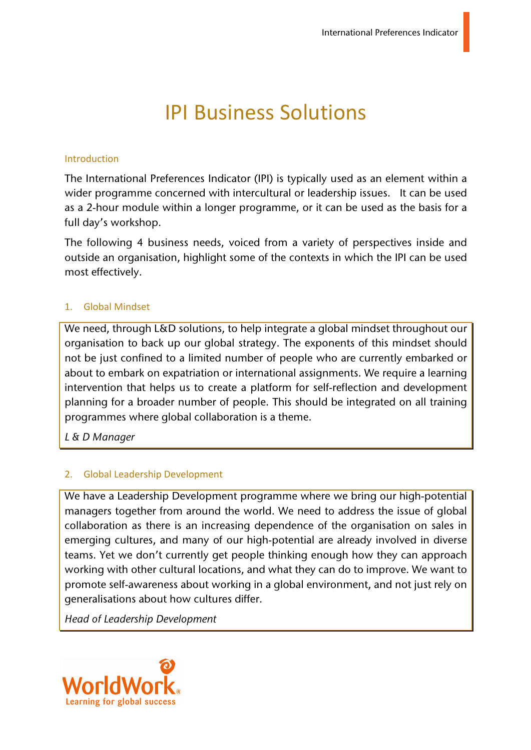# IPI Business Solutions

#### Introduction

The International Preferences Indicator (IPI) is typically used as an element within a wider programme concerned with intercultural or leadership issues. It can be used as a 2-hour module within a longer programme, or it can be used as the basis for a full day's workshop.

The following 4 business needs, voiced from a variety of perspectives inside and outside an organisation, highlight some of the contexts in which the IPI can be used most effectively.

#### 1. Global Mindset

We need, through L&D solutions, to help integrate a global mindset throughout our organisation to back up our global strategy. The exponents of this mindset should not be just confined to a limited number of people who are currently embarked or about to embark on expatriation or international assignments. We require a learning intervention that helps us to create a platform for self-reflection and development planning for a broader number of people. This should be integrated on all training programmes where global collaboration is a theme.

*L & D Manager*

## 2. Global Leadership Development

We have a Leadership Development programme where we bring our high-potential managers together from around the world. We need to address the issue of global collaboration as there is an increasing dependence of the organisation on sales in emerging cultures, and many of our high-potential are already involved in diverse teams. Yet we don't currently get people thinking enough how they can approach working with other cultural locations, and what they can do to improve. We want to promote self-awareness about working in a global environment, and not just rely on generalisations about how cultures differ.

*Head of Leadership Development*